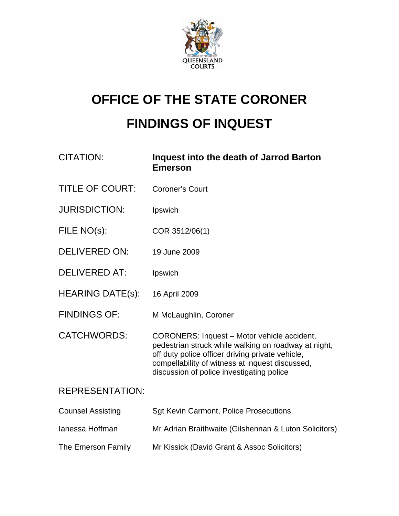

# **OFFICE OF THE STATE CORONER FINDINGS OF INQUEST**

| <b>CITATION:</b>         | Inquest into the death of Jarrod Barton<br><b>Emerson</b>                                                                                                                                                                                               |
|--------------------------|---------------------------------------------------------------------------------------------------------------------------------------------------------------------------------------------------------------------------------------------------------|
| <b>TITLE OF COURT:</b>   | <b>Coroner's Court</b>                                                                                                                                                                                                                                  |
| <b>JURISDICTION:</b>     | Ipswich                                                                                                                                                                                                                                                 |
| FILE NO(s):              | COR 3512/06(1)                                                                                                                                                                                                                                          |
| <b>DELIVERED ON:</b>     | 19 June 2009                                                                                                                                                                                                                                            |
| <b>DELIVERED AT:</b>     | Ipswich                                                                                                                                                                                                                                                 |
| <b>HEARING DATE(s):</b>  | 16 April 2009                                                                                                                                                                                                                                           |
| <b>FINDINGS OF:</b>      | M McLaughlin, Coroner                                                                                                                                                                                                                                   |
| <b>CATCHWORDS:</b>       | CORONERS: Inquest - Motor vehicle accident,<br>pedestrian struck while walking on roadway at night,<br>off duty police officer driving private vehicle,<br>compellability of witness at inquest discussed,<br>discussion of police investigating police |
| <b>REPRESENTATION:</b>   |                                                                                                                                                                                                                                                         |
| <b>Counsel Assisting</b> | <b>Sgt Kevin Carmont, Police Prosecutions</b>                                                                                                                                                                                                           |
| lanessa Hoffman          | Mr Adrian Braithwaite (Gilshennan & Luton Solicitors)                                                                                                                                                                                                   |
| The Emerson Family       | Mr Kissick (David Grant & Assoc Solicitors)                                                                                                                                                                                                             |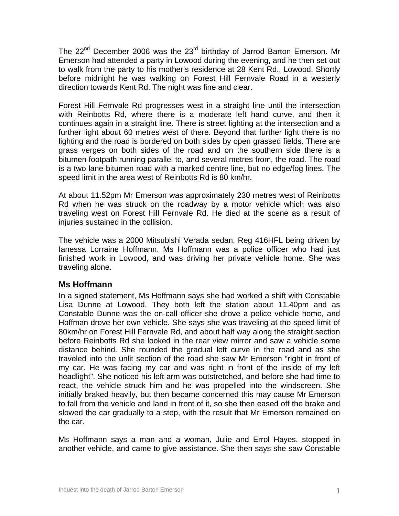The 22<sup>nd</sup> December 2006 was the 23<sup>rd</sup> birthday of Jarrod Barton Emerson. Mr Emerson had attended a party in Lowood during the evening, and he then set out to walk from the party to his mother's residence at 28 Kent Rd., Lowood. Shortly before midnight he was walking on Forest Hill Fernvale Road in a westerly direction towards Kent Rd. The night was fine and clear.

Forest Hill Fernvale Rd progresses west in a straight line until the intersection with Reinbotts Rd, where there is a moderate left hand curve, and then it continues again in a straight line. There is street lighting at the intersection and a further light about 60 metres west of there. Beyond that further light there is no lighting and the road is bordered on both sides by open grassed fields. There are grass verges on both sides of the road and on the southern side there is a bitumen footpath running parallel to, and several metres from, the road. The road is a two lane bitumen road with a marked centre line, but no edge/fog lines. The speed limit in the area west of Reinbotts Rd is 80 km/hr.

At about 11.52pm Mr Emerson was approximately 230 metres west of Reinbotts Rd when he was struck on the roadway by a motor vehicle which was also traveling west on Forest Hill Fernvale Rd. He died at the scene as a result of injuries sustained in the collision.

The vehicle was a 2000 Mitsubishi Verada sedan, Reg 416HFL being driven by Ianessa Lorraine Hoffmann. Ms Hoffmann was a police officer who had just finished work in Lowood, and was driving her private vehicle home. She was traveling alone.

## **Ms Hoffmann**

In a signed statement, Ms Hoffmann says she had worked a shift with Constable Lisa Dunne at Lowood. They both left the station about 11.40pm and as Constable Dunne was the on-call officer she drove a police vehicle home, and Hoffman drove her own vehicle. She says she was traveling at the speed limit of 80km/hr on Forest Hill Fernvale Rd, and about half way along the straight section before Reinbotts Rd she looked in the rear view mirror and saw a vehicle some distance behind. She rounded the gradual left curve in the road and as she traveled into the unlit section of the road she saw Mr Emerson "right in front of my car. He was facing my car and was right in front of the inside of my left headlight". She noticed his left arm was outstretched, and before she had time to react, the vehicle struck him and he was propelled into the windscreen. She initially braked heavily, but then became concerned this may cause Mr Emerson to fall from the vehicle and land in front of it, so she then eased off the brake and slowed the car gradually to a stop, with the result that Mr Emerson remained on the car.

Ms Hoffmann says a man and a woman, Julie and Errol Hayes, stopped in another vehicle, and came to give assistance. She then says she saw Constable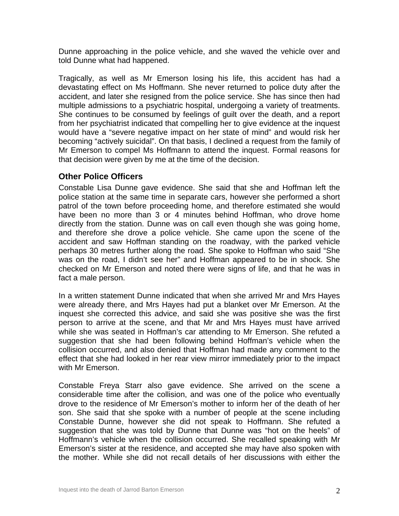Dunne approaching in the police vehicle, and she waved the vehicle over and told Dunne what had happened.

Tragically, as well as Mr Emerson losing his life, this accident has had a devastating effect on Ms Hoffmann. She never returned to police duty after the accident, and later she resigned from the police service. She has since then had multiple admissions to a psychiatric hospital, undergoing a variety of treatments. She continues to be consumed by feelings of guilt over the death, and a report from her psychiatrist indicated that compelling her to give evidence at the inquest would have a "severe negative impact on her state of mind" and would risk her becoming "actively suicidal". On that basis, I declined a request from the family of Mr Emerson to compel Ms Hoffmann to attend the inquest. Formal reasons for that decision were given by me at the time of the decision.

## **Other Police Officers**

Constable Lisa Dunne gave evidence. She said that she and Hoffman left the police station at the same time in separate cars, however she performed a short patrol of the town before proceeding home, and therefore estimated she would have been no more than 3 or 4 minutes behind Hoffman, who drove home directly from the station. Dunne was on call even though she was going home, and therefore she drove a police vehicle. She came upon the scene of the accident and saw Hoffman standing on the roadway, with the parked vehicle perhaps 30 metres further along the road. She spoke to Hoffman who said "She was on the road, I didn't see her" and Hoffman appeared to be in shock. She checked on Mr Emerson and noted there were signs of life, and that he was in fact a male person.

In a written statement Dunne indicated that when she arrived Mr and Mrs Hayes were already there, and Mrs Hayes had put a blanket over Mr Emerson. At the inquest she corrected this advice, and said she was positive she was the first person to arrive at the scene, and that Mr and Mrs Hayes must have arrived while she was seated in Hoffman's car attending to Mr Emerson. She refuted a suggestion that she had been following behind Hoffman's vehicle when the collision occurred, and also denied that Hoffman had made any comment to the effect that she had looked in her rear view mirror immediately prior to the impact with Mr Emerson.

Constable Freya Starr also gave evidence. She arrived on the scene a considerable time after the collision, and was one of the police who eventually drove to the residence of Mr Emerson's mother to inform her of the death of her son. She said that she spoke with a number of people at the scene including Constable Dunne, however she did not speak to Hoffmann. She refuted a suggestion that she was told by Dunne that Dunne was "hot on the heels" of Hoffmann's vehicle when the collision occurred. She recalled speaking with Mr Emerson's sister at the residence, and accepted she may have also spoken with the mother. While she did not recall details of her discussions with either the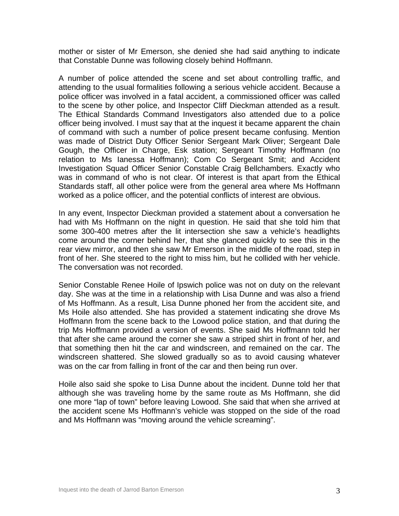mother or sister of Mr Emerson, she denied she had said anything to indicate that Constable Dunne was following closely behind Hoffmann.

A number of police attended the scene and set about controlling traffic, and attending to the usual formalities following a serious vehicle accident. Because a police officer was involved in a fatal accident, a commissioned officer was called to the scene by other police, and Inspector Cliff Dieckman attended as a result. The Ethical Standards Command Investigators also attended due to a police officer being involved. I must say that at the inquest it became apparent the chain of command with such a number of police present became confusing. Mention was made of District Duty Officer Senior Sergeant Mark Oliver; Sergeant Dale Gough, the Officer in Charge, Esk station; Sergeant Timothy Hoffmann (no relation to Ms Ianessa Hoffmann); Com Co Sergeant Smit; and Accident Investigation Squad Officer Senior Constable Craig Bellchambers. Exactly who was in command of who is not clear. Of interest is that apart from the Ethical Standards staff, all other police were from the general area where Ms Hoffmann worked as a police officer, and the potential conflicts of interest are obvious.

In any event, Inspector Dieckman provided a statement about a conversation he had with Ms Hoffmann on the night in question. He said that she told him that some 300-400 metres after the lit intersection she saw a vehicle's headlights come around the corner behind her, that she glanced quickly to see this in the rear view mirror, and then she saw Mr Emerson in the middle of the road, step in front of her. She steered to the right to miss him, but he collided with her vehicle. The conversation was not recorded.

Senior Constable Renee Hoile of Ipswich police was not on duty on the relevant day. She was at the time in a relationship with Lisa Dunne and was also a friend of Ms Hoffmann. As a result, Lisa Dunne phoned her from the accident site, and Ms Hoile also attended. She has provided a statement indicating she drove Ms Hoffmann from the scene back to the Lowood police station, and that during the trip Ms Hoffmann provided a version of events. She said Ms Hoffmann told her that after she came around the corner she saw a striped shirt in front of her, and that something then hit the car and windscreen, and remained on the car. The windscreen shattered. She slowed gradually so as to avoid causing whatever was on the car from falling in front of the car and then being run over.

Hoile also said she spoke to Lisa Dunne about the incident. Dunne told her that although she was traveling home by the same route as Ms Hoffmann, she did one more "lap of town" before leaving Lowood. She said that when she arrived at the accident scene Ms Hoffmann's vehicle was stopped on the side of the road and Ms Hoffmann was "moving around the vehicle screaming".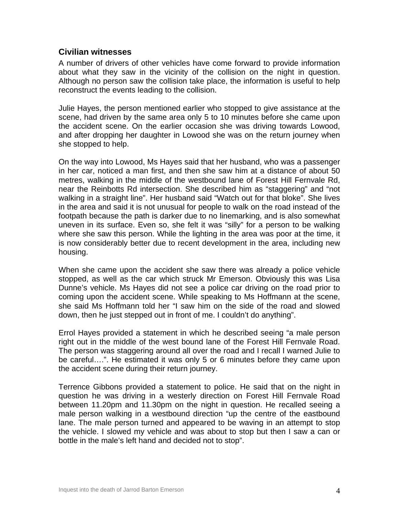## **Civilian witnesses**

A number of drivers of other vehicles have come forward to provide information about what they saw in the vicinity of the collision on the night in question. Although no person saw the collision take place, the information is useful to help reconstruct the events leading to the collision.

Julie Hayes, the person mentioned earlier who stopped to give assistance at the scene, had driven by the same area only 5 to 10 minutes before she came upon the accident scene. On the earlier occasion she was driving towards Lowood, and after dropping her daughter in Lowood she was on the return journey when she stopped to help.

On the way into Lowood, Ms Hayes said that her husband, who was a passenger in her car, noticed a man first, and then she saw him at a distance of about 50 metres, walking in the middle of the westbound lane of Forest Hill Fernvale Rd, near the Reinbotts Rd intersection. She described him as "staggering" and "not walking in a straight line". Her husband said "Watch out for that bloke". She lives in the area and said it is not unusual for people to walk on the road instead of the footpath because the path is darker due to no linemarking, and is also somewhat uneven in its surface. Even so, she felt it was "silly" for a person to be walking where she saw this person. While the lighting in the area was poor at the time, it is now considerably better due to recent development in the area, including new housing.

When she came upon the accident she saw there was already a police vehicle stopped, as well as the car which struck Mr Emerson. Obviously this was Lisa Dunne's vehicle. Ms Hayes did not see a police car driving on the road prior to coming upon the accident scene. While speaking to Ms Hoffmann at the scene, she said Ms Hoffmann told her "I saw him on the side of the road and slowed down, then he just stepped out in front of me. I couldn't do anything".

Errol Hayes provided a statement in which he described seeing "a male person right out in the middle of the west bound lane of the Forest Hill Fernvale Road. The person was staggering around all over the road and I recall I warned Julie to be careful….". He estimated it was only 5 or 6 minutes before they came upon the accident scene during their return journey.

Terrence Gibbons provided a statement to police. He said that on the night in question he was driving in a westerly direction on Forest Hill Fernvale Road between 11.20pm and 11.30pm on the night in question. He recalled seeing a male person walking in a westbound direction "up the centre of the eastbound lane. The male person turned and appeared to be waving in an attempt to stop the vehicle. I slowed my vehicle and was about to stop but then I saw a can or bottle in the male's left hand and decided not to stop".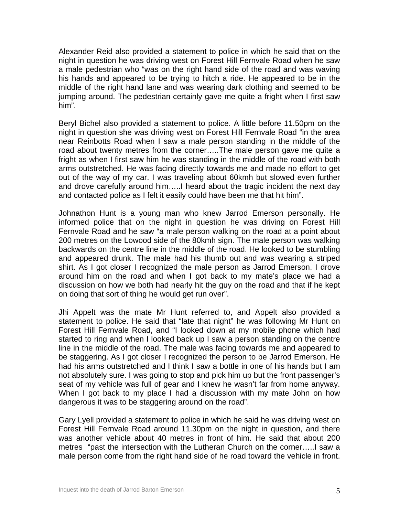Alexander Reid also provided a statement to police in which he said that on the night in question he was driving west on Forest Hill Fernvale Road when he saw a male pedestrian who "was on the right hand side of the road and was waving his hands and appeared to be trying to hitch a ride. He appeared to be in the middle of the right hand lane and was wearing dark clothing and seemed to be jumping around. The pedestrian certainly gave me quite a fright when I first saw him".

Beryl Bichel also provided a statement to police. A little before 11.50pm on the night in question she was driving west on Forest Hill Fernvale Road "in the area near Reinbotts Road when I saw a male person standing in the middle of the road about twenty metres from the corner…..The male person gave me quite a fright as when I first saw him he was standing in the middle of the road with both arms outstretched. He was facing directly towards me and made no effort to get out of the way of my car. I was traveling about 60kmh but slowed even further and drove carefully around him…..I heard about the tragic incident the next day and contacted police as I felt it easily could have been me that hit him".

Johnathon Hunt is a young man who knew Jarrod Emerson personally. He informed police that on the night in question he was driving on Forest Hill Fernvale Road and he saw "a male person walking on the road at a point about 200 metres on the Lowood side of the 80kmh sign. The male person was walking backwards on the centre line in the middle of the road. He looked to be stumbling and appeared drunk. The male had his thumb out and was wearing a striped shirt. As I got closer I recognized the male person as Jarrod Emerson. I drove around him on the road and when I got back to my mate's place we had a discussion on how we both had nearly hit the guy on the road and that if he kept on doing that sort of thing he would get run over".

Jhi Appelt was the mate Mr Hunt referred to, and Appelt also provided a statement to police. He said that "late that night" he was following Mr Hunt on Forest Hill Fernvale Road, and "I looked down at my mobile phone which had started to ring and when I looked back up I saw a person standing on the centre line in the middle of the road. The male was facing towards me and appeared to be staggering. As I got closer I recognized the person to be Jarrod Emerson. He had his arms outstretched and I think I saw a bottle in one of his hands but I am not absolutely sure. I was going to stop and pick him up but the front passenger's seat of my vehicle was full of gear and I knew he wasn't far from home anyway. When I got back to my place I had a discussion with my mate John on how dangerous it was to be staggering around on the road".

Gary Lyell provided a statement to police in which he said he was driving west on Forest Hill Fernvale Road around 11.30pm on the night in question, and there was another vehicle about 40 metres in front of him. He said that about 200 metres "past the intersection with the Lutheran Church on the corner…..I saw a male person come from the right hand side of he road toward the vehicle in front.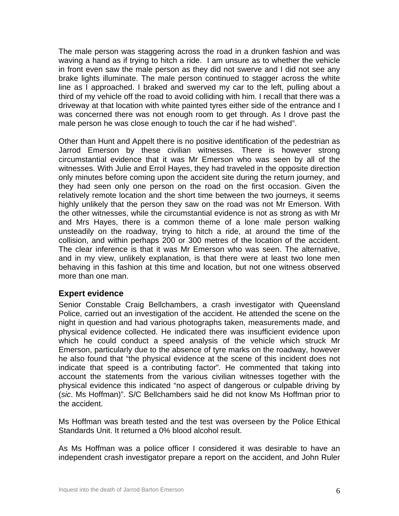The male person was staggering across the road in a drunken fashion and was waving a hand as if trying to hitch a ride. I am unsure as to whether the vehicle in front even saw the male person as they did not swerve and I did not see any brake lights illuminate. The male person continued to stagger across the white line as I approached. I braked and swerved my car to the left, pulling about a third of my vehicle off the road to avoid colliding with him. I recall that there was a driveway at that location with white painted tyres either side of the entrance and I was concerned there was not enough room to get through. As I drove past the male person he was close enough to touch the car if he had wished".

Other than Hunt and Appelt there is no positive identification of the pedestrian as Jarrod Emerson by these civilian witnesses. There is however strong circumstantial evidence that it was Mr Emerson who was seen by all of the witnesses. With Julie and Errol Hayes, they had traveled in the opposite direction only minutes before coming upon the accident site during the return journey, and they had seen only one person on the road on the first occasion. Given the relatively remote location and the short time between the two journeys, it seems highly unlikely that the person they saw on the road was not Mr Emerson. With the other witnesses, while the circumstantial evidence is not as strong as with Mr and Mrs Hayes, there is a common theme of a lone male person walking unsteadily on the roadway, trying to hitch a ride, at around the time of the collision, and within perhaps 200 or 300 metres of the location of the accident. The clear inference is that it was Mr Emerson who was seen. The alternative, and in my view, unlikely explanation, is that there were at least two lone men behaving in this fashion at this time and location, but not one witness observed more than one man.

## **Expert evidence**

Senior Constable Craig Bellchambers, a crash investigator with Queensland Police, carried out an investigation of the accident. He attended the scene on the night in question and had various photographs taken, measurements made, and physical evidence collected. He indicated there was insufficient evidence upon which he could conduct a speed analysis of the vehicle which struck Mr Emerson, particularly due to the absence of tyre marks on the roadway, however he also found that "the physical evidence at the scene of this incident does not indicate that speed is a contributing factor". He commented that taking into account the statements from the various civilian witnesses together with the physical evidence this indicated "no aspect of dangerous or culpable driving by (*sic*. Ms Hoffman)". S/C Bellchambers said he did not know Ms Hoffman prior to the accident.

Ms Hoffman was breath tested and the test was overseen by the Police Ethical Standards Unit. It returned a 0% blood alcohol result.

As Ms Hoffman was a police officer I considered it was desirable to have an independent crash investigator prepare a report on the accident, and John Ruler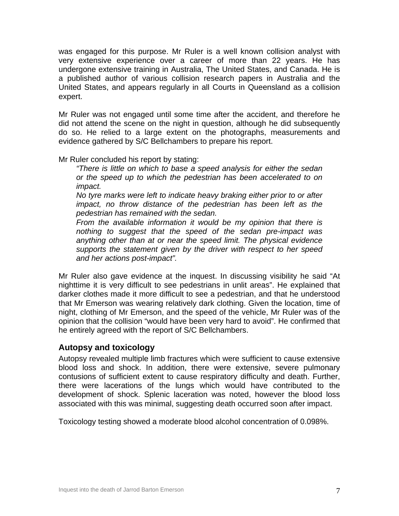was engaged for this purpose. Mr Ruler is a well known collision analyst with very extensive experience over a career of more than 22 years. He has undergone extensive training in Australia, The United States, and Canada. He is a published author of various collision research papers in Australia and the United States, and appears regularly in all Courts in Queensland as a collision expert.

Mr Ruler was not engaged until some time after the accident, and therefore he did not attend the scene on the night in question, although he did subsequently do so. He relied to a large extent on the photographs, measurements and evidence gathered by S/C Bellchambers to prepare his report.

Mr Ruler concluded his report by stating:

*"There is little on which to base a speed analysis for either the sedan or the speed up to which the pedestrian has been accelerated to on impact.* 

*No tyre marks were left to indicate heavy braking either prior to or after impact, no throw distance of the pedestrian has been left as the pedestrian has remained with the sedan.* 

*From the available information it would be my opinion that there is nothing to suggest that the speed of the sedan pre-impact was anything other than at or near the speed limit. The physical evidence supports the statement given by the driver with respect to her speed and her actions post-impact".* 

Mr Ruler also gave evidence at the inquest. In discussing visibility he said "At nighttime it is very difficult to see pedestrians in unlit areas". He explained that darker clothes made it more difficult to see a pedestrian, and that he understood that Mr Emerson was wearing relatively dark clothing. Given the location, time of night, clothing of Mr Emerson, and the speed of the vehicle, Mr Ruler was of the opinion that the collision "would have been very hard to avoid". He confirmed that he entirely agreed with the report of S/C Bellchambers.

## **Autopsy and toxicology**

Autopsy revealed multiple limb fractures which were sufficient to cause extensive blood loss and shock. In addition, there were extensive, severe pulmonary contusions of sufficient extent to cause respiratory difficulty and death. Further, there were lacerations of the lungs which would have contributed to the development of shock. Splenic laceration was noted, however the blood loss associated with this was minimal, suggesting death occurred soon after impact.

Toxicology testing showed a moderate blood alcohol concentration of 0.098%.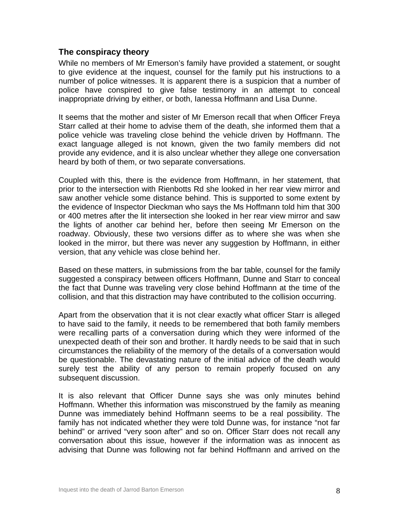## **The conspiracy theory**

While no members of Mr Emerson's family have provided a statement, or sought to give evidence at the inquest, counsel for the family put his instructions to a number of police witnesses. It is apparent there is a suspicion that a number of police have conspired to give false testimony in an attempt to conceal inappropriate driving by either, or both, Ianessa Hoffmann and Lisa Dunne.

It seems that the mother and sister of Mr Emerson recall that when Officer Freya Starr called at their home to advise them of the death, she informed them that a police vehicle was traveling close behind the vehicle driven by Hoffmann. The exact language alleged is not known, given the two family members did not provide any evidence, and it is also unclear whether they allege one conversation heard by both of them, or two separate conversations.

Coupled with this, there is the evidence from Hoffmann, in her statement, that prior to the intersection with Rienbotts Rd she looked in her rear view mirror and saw another vehicle some distance behind. This is supported to some extent by the evidence of Inspector Dieckman who says the Ms Hoffmann told him that 300 or 400 metres after the lit intersection she looked in her rear view mirror and saw the lights of another car behind her, before then seeing Mr Emerson on the roadway. Obviously, these two versions differ as to where she was when she looked in the mirror, but there was never any suggestion by Hoffmann, in either version, that any vehicle was close behind her.

Based on these matters, in submissions from the bar table, counsel for the family suggested a conspiracy between officers Hoffmann, Dunne and Starr to conceal the fact that Dunne was traveling very close behind Hoffmann at the time of the collision, and that this distraction may have contributed to the collision occurring.

Apart from the observation that it is not clear exactly what officer Starr is alleged to have said to the family, it needs to be remembered that both family members were recalling parts of a conversation during which they were informed of the unexpected death of their son and brother. It hardly needs to be said that in such circumstances the reliability of the memory of the details of a conversation would be questionable. The devastating nature of the initial advice of the death would surely test the ability of any person to remain properly focused on any subsequent discussion.

It is also relevant that Officer Dunne says she was only minutes behind Hoffmann. Whether this information was misconstrued by the family as meaning Dunne was immediately behind Hoffmann seems to be a real possibility. The family has not indicated whether they were told Dunne was, for instance "not far behind" or arrived "very soon after" and so on. Officer Starr does not recall any conversation about this issue, however if the information was as innocent as advising that Dunne was following not far behind Hoffmann and arrived on the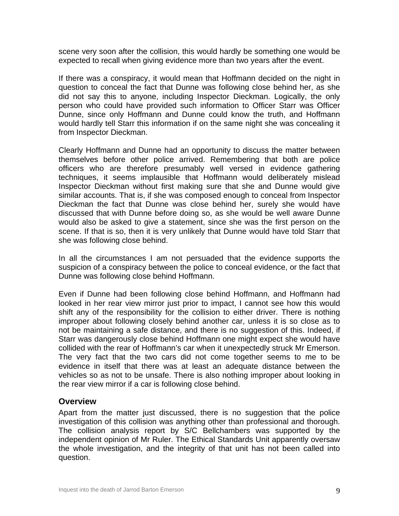scene very soon after the collision, this would hardly be something one would be expected to recall when giving evidence more than two years after the event.

If there was a conspiracy, it would mean that Hoffmann decided on the night in question to conceal the fact that Dunne was following close behind her, as she did not say this to anyone, including Inspector Dieckman. Logically, the only person who could have provided such information to Officer Starr was Officer Dunne, since only Hoffmann and Dunne could know the truth, and Hoffmann would hardly tell Starr this information if on the same night she was concealing it from Inspector Dieckman.

Clearly Hoffmann and Dunne had an opportunity to discuss the matter between themselves before other police arrived. Remembering that both are police officers who are therefore presumably well versed in evidence gathering techniques, it seems implausible that Hoffmann would deliberately mislead Inspector Dieckman without first making sure that she and Dunne would give similar accounts. That is, if she was composed enough to conceal from Inspector Dieckman the fact that Dunne was close behind her, surely she would have discussed that with Dunne before doing so, as she would be well aware Dunne would also be asked to give a statement, since she was the first person on the scene. If that is so, then it is very unlikely that Dunne would have told Starr that she was following close behind.

In all the circumstances I am not persuaded that the evidence supports the suspicion of a conspiracy between the police to conceal evidence, or the fact that Dunne was following close behind Hoffmann.

Even if Dunne had been following close behind Hoffmann, and Hoffmann had looked in her rear view mirror just prior to impact, I cannot see how this would shift any of the responsibility for the collision to either driver. There is nothing improper about following closely behind another car, unless it is so close as to not be maintaining a safe distance, and there is no suggestion of this. Indeed, if Starr was dangerously close behind Hoffmann one might expect she would have collided with the rear of Hoffmann's car when it unexpectedly struck Mr Emerson. The very fact that the two cars did not come together seems to me to be evidence in itself that there was at least an adequate distance between the vehicles so as not to be unsafe. There is also nothing improper about looking in the rear view mirror if a car is following close behind.

#### **Overview**

Apart from the matter just discussed, there is no suggestion that the police investigation of this collision was anything other than professional and thorough. The collision analysis report by S/C Bellchambers was supported by the independent opinion of Mr Ruler. The Ethical Standards Unit apparently oversaw the whole investigation, and the integrity of that unit has not been called into question.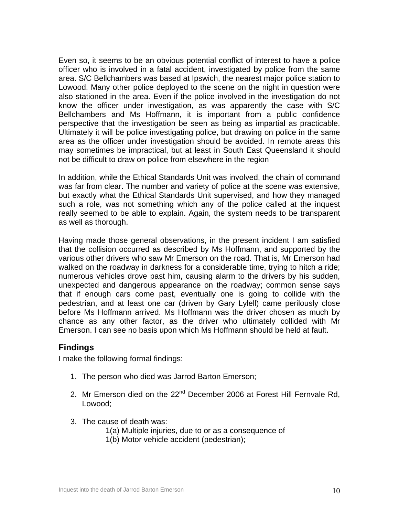Even so, it seems to be an obvious potential conflict of interest to have a police officer who is involved in a fatal accident, investigated by police from the same area. S/C Bellchambers was based at Ipswich, the nearest major police station to Lowood. Many other police deployed to the scene on the night in question were also stationed in the area. Even if the police involved in the investigation do not know the officer under investigation, as was apparently the case with S/C Bellchambers and Ms Hoffmann, it is important from a public confidence perspective that the investigation be seen as being as impartial as practicable. Ultimately it will be police investigating police, but drawing on police in the same area as the officer under investigation should be avoided. In remote areas this may sometimes be impractical, but at least in South East Queensland it should not be difficult to draw on police from elsewhere in the region

In addition, while the Ethical Standards Unit was involved, the chain of command was far from clear. The number and variety of police at the scene was extensive, but exactly what the Ethical Standards Unit supervised, and how they managed such a role, was not something which any of the police called at the inquest really seemed to be able to explain. Again, the system needs to be transparent as well as thorough.

Having made those general observations, in the present incident I am satisfied that the collision occurred as described by Ms Hoffmann, and supported by the various other drivers who saw Mr Emerson on the road. That is, Mr Emerson had walked on the roadway in darkness for a considerable time, trying to hitch a ride; numerous vehicles drove past him, causing alarm to the drivers by his sudden, unexpected and dangerous appearance on the roadway; common sense says that if enough cars come past, eventually one is going to collide with the pedestrian, and at least one car (driven by Gary Lylell) came perilously close before Ms Hoffmann arrived. Ms Hoffmann was the driver chosen as much by chance as any other factor, as the driver who ultimately collided with Mr Emerson. I can see no basis upon which Ms Hoffmann should be held at fault.

#### **Findings**

I make the following formal findings:

- 1. The person who died was Jarrod Barton Emerson;
- 2. Mr Emerson died on the 22<sup>nd</sup> December 2006 at Forest Hill Fernvale Rd, Lowood;
- 3. The cause of death was:
	- 1(a) Multiple injuries, due to or as a consequence of
	- 1(b) Motor vehicle accident (pedestrian);